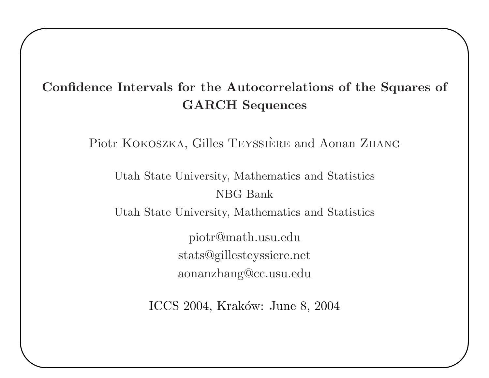# Confidence Intervals for the Autocorrelations of the Squares of GARCH Sequences

 $\overline{\phantom{0}}$ 

 $\bigcup$ 

 $\sqrt{2}$ 

 $\overline{\phantom{a}}$ 

Piotr KOKOSZKA, Gilles TEYSSIÈRE and Aonan ZHANG

Utah State University, Mathematics and Statistics NBG Bank

Utah State University, Mathematics and Statistics

piotr@math.usu.edu stats@gillesteyssiere.net aonanzhang@cc.usu.edu

ICCS 2004, Kraków: June 8, 2004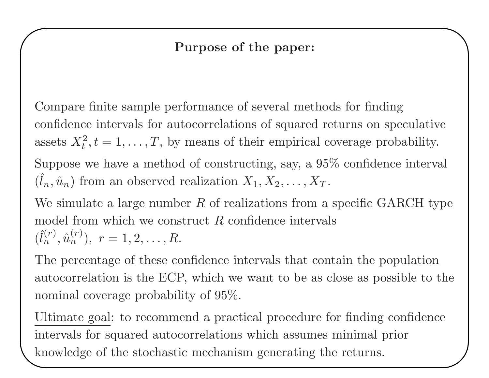### Purpose of the paper:

 $\overline{\phantom{0}}$ 

 $\sqrt{2}$ 

Compare finite sample performance of several methods for finding confidence intervals for autocorrelations of squared returns on speculative assets  $X_t^2, t = 1, \ldots, T$ , by means of their empirical coverage probability. Suppose we have <sup>a</sup> method of constructing, say, <sup>a</sup> 95% confidence interval  $(\hat{l}_n, \hat{u}_n)$  from an observed realization  $X_1, X_2, \ldots, X_T$ .

We simulate a large number  $R$  of realizations from a specific GARCH type model from which we construct  $R$  confidence intervals  $(\hat{l}_n^{(r)}, \hat{u}_n^{(r)}), r = 1, 2, \ldots, R.$ 

The percentage of these confidence intervals that contain the population autocorrelation is the ECP, which we want to be as close as possible to the nominal coverage probability of 95%.

 $\begin{pmatrix} \frac{O_1}{\ln 1} \\ \frac{1}{\ln 1} \end{pmatrix}$ ✪ Ultimate goal: to recommend <sup>a</sup> practical procedure for finding confidence intervals for squared autocorrelations which assumes minimal prior knowledge of the stochastic mechanism generating the returns.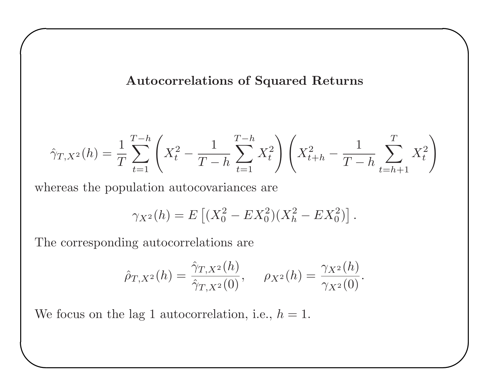#### Autocorrelations of Squared Returns

 $\overline{\phantom{0}}$ 

 $\bigcup$ 

$$
\hat{\gamma}_{T,X^2}(h) = \frac{1}{T} \sum_{t=1}^{T-h} \left( X_t^2 - \frac{1}{T-h} \sum_{t=1}^{T-h} X_t^2 \right) \left( X_{t+h}^2 - \frac{1}{T-h} \sum_{t=h+1}^{T} X_t^2 \right)
$$

whereas the population autocovariances are

$$
\gamma_{X^2}(h) = E\left[ (X_0^2 - EX_0^2)(X_h^2 - EX_0^2) \right].
$$

The corresponding autocorrelations are

 $\sqrt{2}$ 

$$
\hat{\rho}_{T,X^2}(h) = \frac{\hat{\gamma}_{T,X^2}(h)}{\hat{\gamma}_{T,X^2}(0)}, \quad \rho_{X^2}(h) = \frac{\gamma_{X^2}(h)}{\gamma_{X^2}(0)}.
$$

 $\begin{pmatrix} 1 & 1 \\ 1 & 1 \end{pmatrix}$ We focus on the lag 1 autocorrelation, i.e.,  $h = 1$ .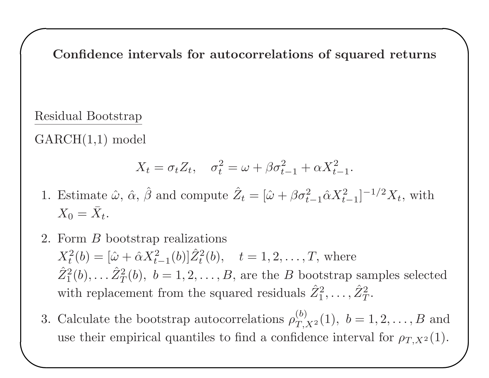Confidence intervals for autocorrelations of squared returns

 $\overline{\phantom{0}}$ 

### Residual Bootstrap

 $\sqrt{2}$ 

GARCH(1,1) model

$$
X_t = \sigma_t Z_t, \quad \sigma_t^2 = \omega + \beta \sigma_{t-1}^2 + \alpha X_{t-1}^2.
$$

- 1. Estimate  $\hat{\omega}$ ,  $\hat{\alpha}$ ,  $\hat{\beta}$  and compute  $\hat{Z}_t = [\hat{\omega} + \beta \sigma_{t-1}^2 \hat{\alpha} X_{t-1}^2]^{-1/2} X_t$ , with  $X_0 = \bar{X}_t.$
- 2. Form <sup>B</sup> bootstrap realizations  $X_t^2(b) = [\hat{\omega} + \hat{\alpha}X_{t-1}^2(b)]\hat{Z}_t^2(b), \quad t = 1, 2, ..., T$ , where  $\hat{Z}_1^2(b), \ldots \hat{Z}_T^2(b), b = 1, 2, \ldots, B$ , are the B bootstrap samples selected with replacement from the squared residuals  $\hat{Z}_1^2, \ldots, \hat{Z}_7^2$  $T$  .
- $\bigcup$  $\begin{pmatrix} 1 \\ 0 \\ 0 \end{pmatrix}$ 3. Calculate the bootstrap autocorrelations  $\rho_{T,X^2}^{(b)}(1)$ ,  $b = 1, 2, ..., B$  and use their empirical quantiles to find a confidence interval for  $\rho_{T,X^2}(1)$ .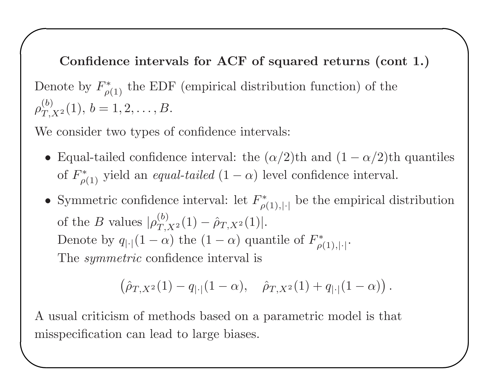$\sqrt{2}$ Confidence intervals for ACF of squared returns (cont 1.) Denote by  $F_{\rho(1)}^*$  the EDF (empirical distribution function) of the  $\rho_{T_X^2}^{(b)}(1), b = 1, 2, \ldots, B.$ 

We consider two types of confidence intervals:

• Equal-tailed confidence interval: the  $(\alpha/2)$ th and  $(1 - \alpha/2)$ th quantiles of  $F^*_{\rho(1)}$  yield an *equal-tailed*  $(1 - \alpha)$  level confidence interval.

 $\overline{\phantom{0}}$ 

 $\bigcup$ 

• Symmetric confidence interval: let  $F^*_{\rho(1),|\cdot|}$  be the empirical distribution of the B values  $|\rho_{T,X^2}^{(b)}(1) - \hat{\rho}_{T,X^2}(1)|$ . Denote by  $q_{|\cdot|}(1-\alpha)$  the  $(1-\alpha)$  quantile of  $F^*_{\rho(1),|\cdot|}$ . The *symmetric* confidence interval is

$$
(\hat{\rho}_{T,X^2}(1)-q_{|\cdot|}(1-\alpha), \quad \hat{\rho}_{T,X^2}(1)+q_{|\cdot|}(1-\alpha)).
$$

 $\begin{pmatrix} 1 \\ 1 \\ 1 \end{pmatrix}$ A usual criticism of methods based on <sup>a</sup> parametric model is that misspecification can lead to large biases.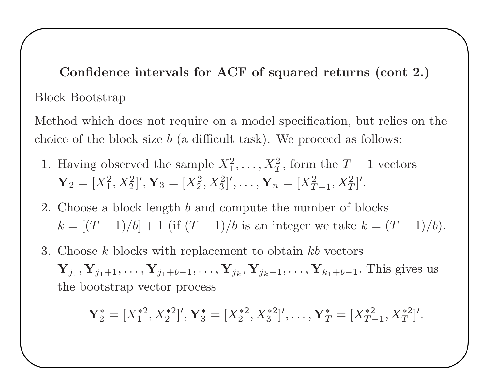Confidence intervals for ACF of squared returns (cont 2.) Block Bootstrap

 $\overline{\phantom{0}}$ 

 $\bigcup$ 

 $\sqrt{2}$ 

 $\overline{\phantom{a}}$ 

Method which does not require on <sup>a</sup> model specification, but relies on the choice of the block size  $b$  (a difficult task). We proceed as follows:

- 1. Having observed the sample  $X_1^2, \ldots, X_T^2$ , form the  $T-1$  vectors  $\mathbf{Y}_2 = [X_1^2, X_2^2]'$ ,  $\mathbf{Y}_3 = [X_2^2, X_3^2]'$ , ...,  $\mathbf{Y}_n = [X_{T-1}^2, X_T^2]'$ .
- 2. Choose <sup>a</sup> block length b and compute the number of blocks  $k = [(T-1)/b] + 1$  (if  $(T-1)/b$  is an integer we take  $k = (T-1)/b$ ).
- 3. Choose k blocks with replacement to obtain kb vectors  $\mathbf{Y}_{j_1}, \mathbf{Y}_{j_1+1}, \ldots, \mathbf{Y}_{j_1+b-1}, \ldots, \mathbf{Y}_{j_k}, \mathbf{Y}_{j_k+1}, \ldots, \mathbf{Y}_{k_1+b-1}.$  This gives us the bootstrap vector process

$$
\mathbf{Y}_2^* = [X_1^{*2}, X_2^{*2}]', \mathbf{Y}_3^* = [X_2^{*2}, X_3^{*2}]', \dots, \mathbf{Y}_T^* = [X_{T-1}^{*2}, X_T^{*2}]'.
$$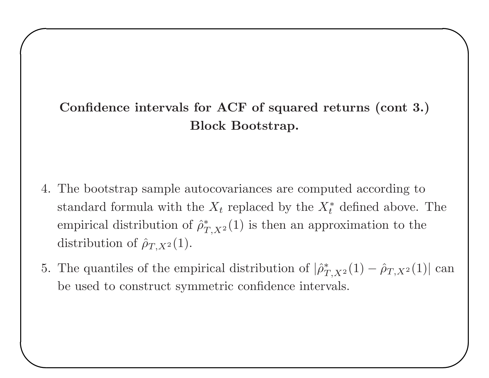# Confidence intervals for ACF of squared returns (cont 3.) Block Bootstrap.

 $\overline{\phantom{0}}$ 

 $\bigcup$ 

 $\sqrt{2}$ 

- 4. The bootstrap sample autocovariances are computed according to standard formula with the  $X_t$  replaced by the  $X_t^*$  defined above. The empirical distribution of  $\hat{\rho}_{T,X^2}^*(1)$  is then an approximation to the distribution of  $\hat{\rho}_{T,X^2}(1)$ .
- 5. The quantiles of the empirical distribution of  $|\hat{\rho}^*_{T,X^2}(1) \hat{\rho}_{T,X^2}(1)|$  can be used to construct symmetric confidence intervals.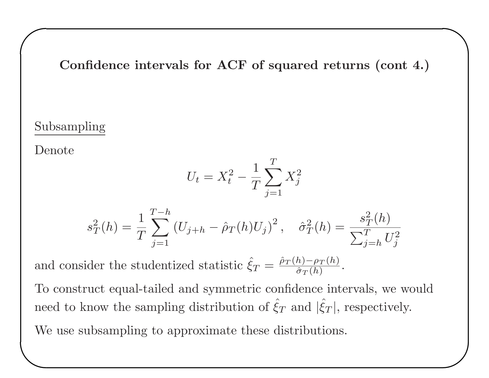Confidence intervals for ACF of squared returns (cont 4.)

 $\overline{\phantom{0}}$ 

 $\bigcup$ 

#### Subsampling

Denote

 $\sqrt{2}$ 

$$
U_t = X_t^2 - \frac{1}{T} \sum_{j=1}^T X_j^2
$$

$$
s_T^2(h) = \frac{1}{T} \sum_{j=1}^{T-h} (U_{j+h} - \hat{\rho}_T(h)U_j)^2, \quad \hat{\sigma}_T^2(h) = \frac{s_T^2(h)}{\sum_{j=h}^{T} U_j^2}
$$

and consider the studentized statistic  $\hat{\xi}_T = \frac{\hat{\rho}_T(h) - \rho_T(h)}{\hat{\sigma}_T(h)}$  $\overline{\hat{\sigma}_T(h)}$  .

To construct equal-tailed and symmetric confidence intervals, we would need to know the sampling distribution of  $\hat{\xi}_T$  and  $|\hat{\xi}_T|$ , respectively.

 $\begin{pmatrix} 1 \\ 1 \\ 1 \end{pmatrix}$ We use subsampling to approximate these distributions.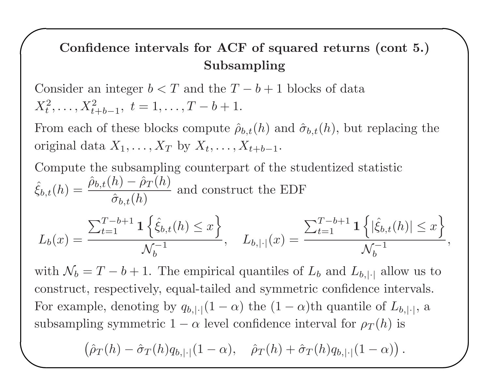# Confidence intervals for ACF of squared returns (cont 5.) Subsampling

 $\overline{\phantom{0}}$ 

 $\bigcup$ 

Consider an integer  $b < T$  and the  $T - b + 1$  blocks of data  $X_t^2, \ldots, X_{t+h-1}^2, t = 1, \ldots, T-b+1.$ 

 $\sqrt{2}$ 

From each of these blocks compute  $\hat{\rho}_{b,t}(h)$  and  $\hat{\sigma}_{b,t}(h)$ , but replacing the original data  $X_1, \ldots, X_T$  by  $X_t, \ldots, X_{t+b-1}$ .

Compute the subsampling counterpart of the studentized statistic ˆ  $\hat{\xi}_{b,t}(h) = \frac{\hat{\rho}_{b,t}(h) - \hat{\rho}_T(h)}{\hat{\sigma}_B(h)}$  $\hat{\sigma}$  $\frac{\partial f}{\partial h}$  and construct the EDF

$$
L_b(x) = \frac{\sum_{t=1}^{T-b+1} \mathbf{1} \left\{ \hat{\xi}_{b,t}(h) \le x \right\}}{\mathcal{N}_b^{-1}}, \quad L_{b,|\cdot|}(x) = \frac{\sum_{t=1}^{T-b+1} \mathbf{1} \left\{ |\hat{\xi}_{b,t}(h)| \le x \right\}}{\mathcal{N}_b^{-1}},
$$

with  $\mathcal{N}_b = T - b + 1$ . The empirical quantiles of  $L_b$  and  $L_{b,|\cdot|}$  allow us to construct, respectively, equal-tailed and symmetric confidence intervals. For example, denoting by  $q_{b,|\cdot|}(1-\alpha)$  the  $(1-\alpha)$ <sup>th</sup> quantile of  $L_{b,|\cdot|}$ , a

subsampling symmetric 1 – 
$$
\alpha
$$
 level confidence interval for  $\rho_T(h)$  is  
\n
$$
(\hat{\rho}_T(h) - \hat{\sigma}_T(h)q_{b,|\cdot|}(1-\alpha), \quad \hat{\rho}_T(h) + \hat{\sigma}_T(h)q_{b,|\cdot|}(1-\alpha)).
$$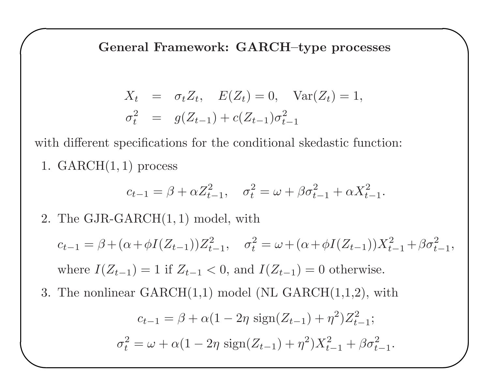General Framework: GARCH–type processes

 $\overline{\phantom{0}}$ 

 $\bigcup$ 

$$
X_t = \sigma_t Z_t, \quad E(Z_t) = 0, \quad \text{Var}(Z_t) = 1, \n\sigma_t^2 = g(Z_{t-1}) + c(Z_{t-1})\sigma_{t-1}^2
$$

with different specifications for the conditional skedastic function:

1.  $GARCH(1, 1)$  process

 $\sqrt{2}$ 

 $\overline{\phantom{a}}$ 

$$
c_{t-1} = \beta + \alpha Z_{t-1}^2, \quad \sigma_t^2 = \omega + \beta \sigma_{t-1}^2 + \alpha X_{t-1}^2.
$$

2. The GJR-GARCH(1, 1) model, with

 $c_{t-1} = \beta + (\alpha + \phi I(Z_{t-1}))Z_{t-1}^2, \quad \sigma_t^2 = \omega + (\alpha + \phi I(Z_{t-1}))X_{t-1}^2 + \beta \sigma_{t-1}^2,$ where  $I(Z_{t-1}) = 1$  if  $Z_{t-1} < 0$ , and  $I(Z_{t-1}) = 0$  otherwise.

3. The nonlinear  $GARCH(1,1)$  model (NL  $GARCH(1,1,2)$ , with

$$
c_{t-1} = \beta + \alpha (1 - 2\eta \operatorname{sign}(Z_{t-1}) + \eta^2) Z_{t-1}^2;
$$
  

$$
\sigma_t^2 = \omega + \alpha (1 - 2\eta \operatorname{sign}(Z_{t-1}) + \eta^2) X_{t-1}^2 + \beta \sigma_{t-1}^2.
$$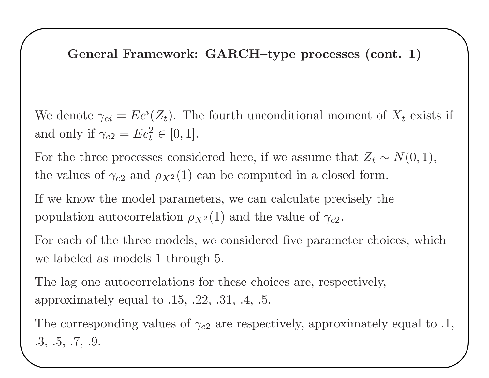General Framework: GARCH–type processes (cont. 1)

 $\overline{\phantom{0}}$ 

 $\sqrt{2}$ 

We denote  $\gamma_{ci} = Ec^{i}(Z_{t})$ . The fourth unconditional moment of  $X_{t}$  exists if and only if  $\gamma_{c2} = Ec_t^2 \in [0, 1].$ 

For the three processes considered here, if we assume that  $Z_t \sim N(0, 1)$ , the values of  $\gamma_{c2}$  and  $\rho_{X^2}(1)$  can be computed in a closed form.

If we know the model parameters, we can calculate precisely the population autocorrelation  $\rho_{X^2}(1)$  and the value of  $\gamma_{c2}$ .

For each of the three models, we considered five parameter choices, which we labeled as models 1 through 5.

The lag one autocorrelations for these choices are, respectively, approximately equal to .15, .22, .31, .4, .5.

The corresponding values of  $\gamma_{c2}$  are respectively, approximately equal to .1,<br>3, .5, .7, .9. .3, .5, .7, .9.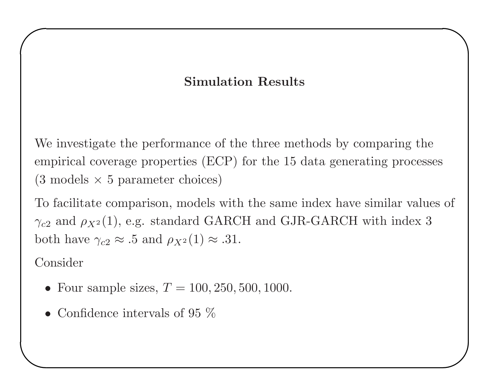## Simulation Results

 $\overline{\phantom{0}}$ 

 $\bigcup$ 

We investigate the performance of the three methods by comparing the empirical coverage properties (ECP) for the <sup>15</sup> data generating processes  $(3 \text{ models} \times 5 \text{ parameter choices})$ 

To facilitate comparison, models with the same index have similar values of  $\gamma_{c2}$  and  $\rho_{X^2}(1)$ , e.g. standard GARCH and GJR-GARCH with index 3 both have  $\gamma_{c2} \approx .5$  and  $\rho_{X^2}(1) \approx .31$ .

Consider

- Four sample sizes,  $T = 100, 250, 500, 1000$ .
- $\overline{\phantom{a}}$ • Confidence intervals of 95  $%$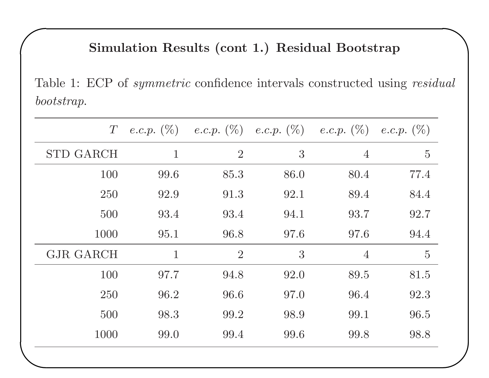## Simulation Results (cont 1.) Residual Bootstrap

 $\overline{\phantom{0}}$ 

 $\bigcup$ 

Table 1: ECP of symmetric confidence intervals constructed using residual bootstrap.

| $\, T \,$        |                |                |      | e.c.p. $(\%)$ e.c.p. $(\%)$ e.c.p. $(\%)$ e.c.p. $(\%)$ e.c.p. $(\%)$ |                |
|------------------|----------------|----------------|------|-----------------------------------------------------------------------|----------------|
| <b>STD GARCH</b> | $\mathbf{1}$   | $\overline{2}$ | 3    | $\overline{4}$                                                        | $\overline{5}$ |
| 100              | 99.6           | 85.3           | 86.0 | 80.4                                                                  | 77.4           |
| 250              | 92.9           | 91.3           | 92.1 | 89.4                                                                  | 84.4           |
| 500              | 93.4           | 93.4           | 94.1 | 93.7                                                                  | 92.7           |
| 1000             | 95.1           | 96.8           | 97.6 | 97.6                                                                  | 94.4           |
| <b>GJR GARCH</b> | $\overline{1}$ | $\overline{2}$ | 3    | $\overline{4}$                                                        | $\overline{5}$ |
| 100              | 97.7           | 94.8           | 92.0 | 89.5                                                                  | 81.5           |
| 250              | 96.2           | 96.6           | 97.0 | 96.4                                                                  | 92.3           |
| 500              | 98.3           | 99.2           | 98.9 | 99.1                                                                  | 96.5           |
| 1000             | 99.0           | 99.4           | 99.6 | 99.8                                                                  | 98.8           |
|                  |                |                |      |                                                                       |                |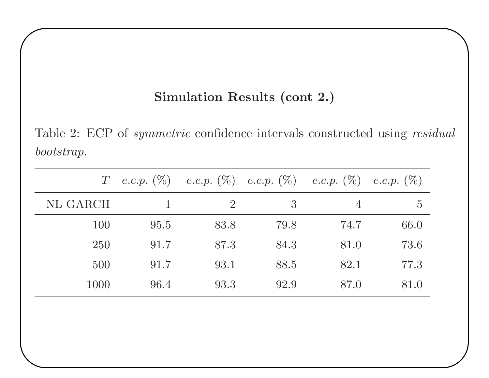### Simulation Results (cont 2.)

 $\overline{\phantom{0}}$ 

 $\bigcup$ 

 $\sqrt{2}$ 

Table 2: ECP of symmetric confidence intervals constructed using residual bootstrap.

| $T_{\rm}$ |      |                |      | e.c.p. $(\%)$ e.c.p. $(\%)$ e.c.p. $(\%)$ e.c.p. $(\%)$ e.c.p. $(\%)$ |                |
|-----------|------|----------------|------|-----------------------------------------------------------------------|----------------|
| NL GARCH  |      | $\overline{2}$ | 3    | $\overline{4}$                                                        | $\overline{5}$ |
| 100       | 95.5 | 83.8           | 79.8 | 74.7                                                                  | 66.0           |
| 250       | 91.7 | 87.3           | 84.3 | 81.0                                                                  | 73.6           |
| 500       | 91.7 | 93.1           | 88.5 | 82.1                                                                  | 77.3           |
| 1000      | 96.4 | 93.3           | 92.9 | 87.0                                                                  | 81.0           |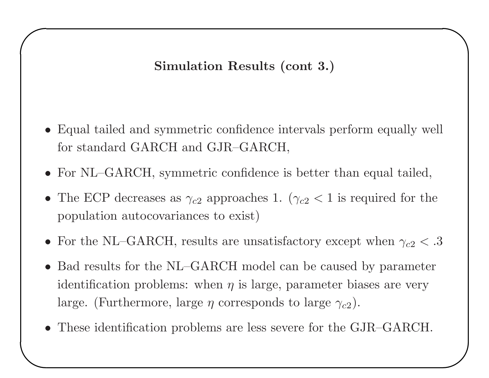Simulation Results (cont 3.)

 $\overline{\phantom{0}}$ 

 $\bigcup$ 

- Equal tailed and symmetric confidence intervals perform equally well for standard GARCH and GJR–GARCH,
- For NL–GARCH, symmetric confidence is better than equal tailed,
- The ECP decreases as  $\gamma_{c2}$  approaches 1. ( $\gamma_{c2}$  < 1 is required for the population autocovariances to exist)
- For the NL–GARCH, results are unsatisfactory except when  $\gamma_{c2} < .3$
- Bad results for the NL–GARCH model can be caused by parameter identification problems: when  $\eta$  is large, parameter biases are very large. (Furthermore, large  $\eta$  corresponds to large  $\gamma_{c2}$ ).
- $\begin{pmatrix} 1 \\ -1 \end{pmatrix}$ • These identification problems are less severe for the GJR–GARCH.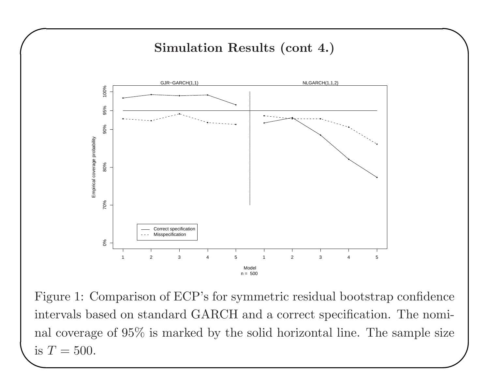

 $\overline{\phantom{0}}$ 

 $\sqrt{2}$ 

mal coverage of 95% is marked by the solid horizontal line. The sample size<br>is  $T = 500$ . Figure 1: Comparison of ECP's for symmetric residual bootstrap confidence intervals based on standard GARCH and <sup>a</sup> correct specification. The nominal coverage of 95% is marked by the solid horizontal line. The sample size is  $T = 500$ .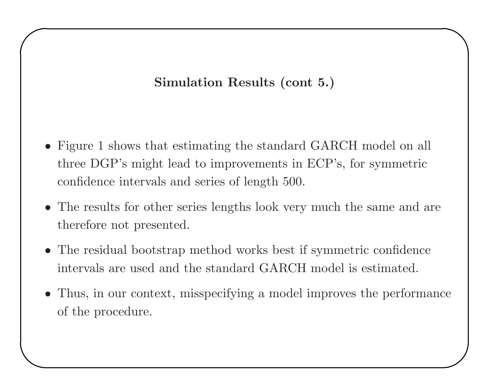# Simulation Results (cont 5.)

 $\overline{\phantom{0}}$ 

- Figure 1 shows that estimating the standard GARCH model on all three DGP's might lead to improvements in ECP's, for symmetric confidence intervals and series of length 500.
- The results for other series lengths look very much the same and are therefore not presented.
- The residual bootstrap method works best if symmetric confidence intervals are used and the standard GARCH model is estimated.
- $\overline{\phantom{a}}$  $\bigcup$ • Thus, in our context, misspecifying <sup>a</sup> model improves the performance of the procedure.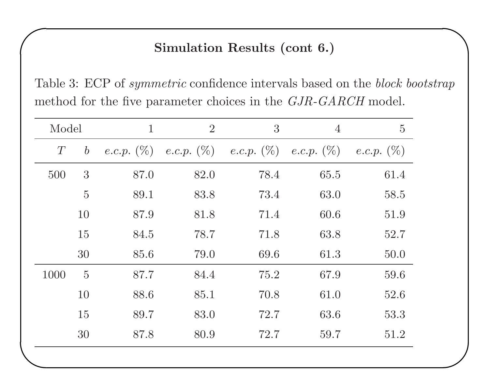## Simulation Results (cont 6.)

 $\overline{\phantom{0}}$ 

 $\bigcup$ 

Table 3: ECP of *symmetric* confidence intervals based on the *block bootstrap* method for the five parameter choices in the GJR-GARCH model.

| Model |                  | $\mathbf{1}$ | $\overline{2}$ | 3                                                       | $\overline{4}$ | $\overline{5}$       |
|-------|------------------|--------------|----------------|---------------------------------------------------------|----------------|----------------------|
| T     | $\boldsymbol{b}$ |              |                | e.c.p. $(\%)$ e.c.p. $(\%)$ e.c.p. $(\%)$ e.c.p. $(\%)$ |                | <i>e.c.p.</i> $(\%)$ |
| 500   | 3                | 87.0         | 82.0           | 78.4                                                    | 65.5           | 61.4                 |
|       | $\overline{5}$   | 89.1         | 83.8           | 73.4                                                    | 63.0           | 58.5                 |
|       | 10               | 87.9         | 81.8           | 71.4                                                    | 60.6           | 51.9                 |
|       | 15               | 84.5         | 78.7           | 71.8                                                    | 63.8           | 52.7                 |
|       | 30               | 85.6         | 79.0           | 69.6                                                    | 61.3           | 50.0                 |
| 1000  | $\overline{5}$   | 87.7         | 84.4           | 75.2                                                    | 67.9           | 59.6                 |
|       | 10               | 88.6         | 85.1           | 70.8                                                    | 61.0           | 52.6                 |
|       | 15               | 89.7         | 83.0           | 72.7                                                    | 63.6           | 53.3                 |
|       | 30               | 87.8         | 80.9           | 72.7                                                    | 59.7           | 51.2                 |
|       |                  |              |                |                                                         |                |                      |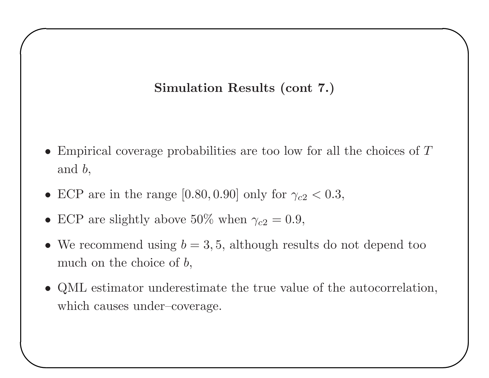## Simulation Results (cont 7.)

 $\overline{\phantom{0}}$ 

 $\bigcup$ 

- Empirical coverage probabilities are too low for all the choices of T and b,
- ECP are in the range [0.80, 0.90] only for  $\gamma_{c2} < 0.3$ ,
- ECP are slightly above 50% when  $\gamma_{c2} = 0.9$ ,

 $\sqrt{2}$ 

- We recommend using  $b = 3, 5$ , although results do not depend too much on the choice of  $b$ ,
- QML estimator underestimate the true value of the autocorrelation, which causes under–coverage.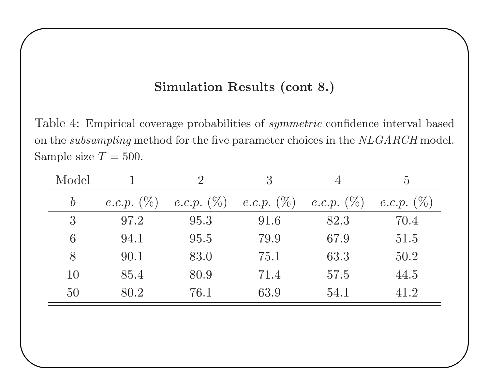#### Simulation Results (cont 8.)

 $\overline{\phantom{0}}$ 

 $\bigcup$ 

 $\sqrt{2}$ 

 $\overline{\phantom{a}}$ 

Table 4: Empirical coverage probabilities of symmetric confidence interval based on the subsampling method for the five parameter choices in the NLGARCH model. Sample size  $T = 500$ .

| Model            |                      |                      | 3                    |                      | $\overline{5}$       |
|------------------|----------------------|----------------------|----------------------|----------------------|----------------------|
| $\boldsymbol{b}$ | <i>e.c.p.</i> $(\%)$ | <i>e.c.p.</i> $(\%)$ | <i>e.c.p.</i> $(\%)$ | <i>e.c.p.</i> $(\%)$ | <i>e.c.p.</i> $(\%)$ |
| 3                | 97.2                 | 95.3                 | 91.6                 | 82.3                 | 70.4                 |
| 6                | 94.1                 | 95.5                 | 79.9                 | 67.9                 | 51.5                 |
| 8                | 90.1                 | 83.0                 | 75.1                 | 63.3                 | 50.2                 |
| 10               | 85.4                 | 80.9                 | 71.4                 | 57.5                 | 44.5                 |
| 50               | 80.2                 | 76.1                 | 63.9                 | 54.1                 | 41.2                 |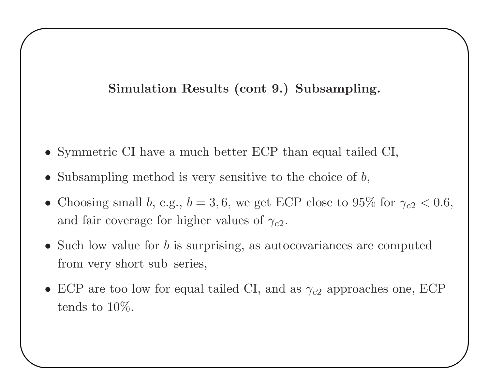### Simulation Results (cont 9.) Subsampling.

 $\overline{\phantom{0}}$ 

 $\bigcup$ 

- Symmetric CI have <sup>a</sup> much better ECP than equal tailed CI,
- Subsampling method is very sensitive to the choice of  $b$ ,

 $\sqrt{2}$ 

- Choosing small b, e.g.,  $b = 3, 6$ , we get ECP close to 95% for  $\gamma_{c2} < 0.6$ , and fair coverage for higher values of  $\gamma_{c2}$ .
- Such low value for b is surprising, as autocovariances are computed from very short sub–series,
- ECP are too low for equal tailed CI, and as  $\gamma_{c2}$  approaches one, ECP tends to 10%.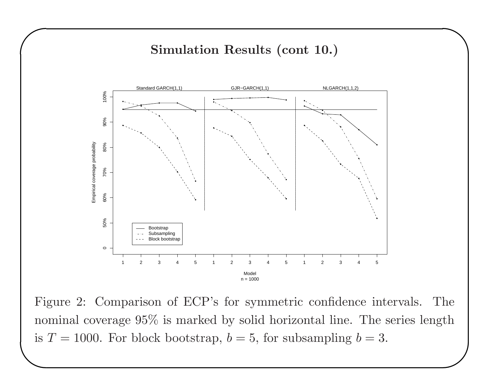#### Simulation Results (cont 10.)

 $\overline{\phantom{0}}$ 



 $\begin{pmatrix} n & c \ s & n \end{pmatrix}$ ✪ Figure 2: Comparison of ECP's for symmetric confidence intervals. The nominal coverage 95% is marked by solid horizontal line. The series length is  $T = 1000$ . For block bootstrap,  $b = 5$ , for subsampling  $b = 3$ .